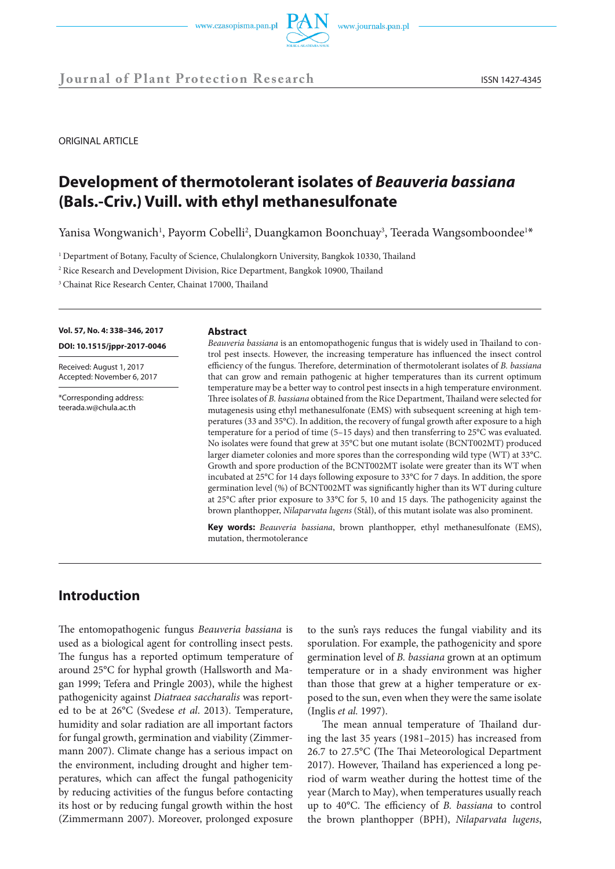



**Journal of Plant Protection Research** ISSN 1427-4345

ORIGINAL ARTICLE

# **Development of thermotolerant isolates of** *Beauveria bassiana* **(Bals.-Criv.) Vuill. with ethyl methanesulfonate**

Yanisa Wongwanich<sup>1</sup>, Payorm Cobelli<sup>2</sup>, Duangkamon Boonchuay<sup>3</sup>, Teerada Wangsomboondee<sup>1\*</sup>

<sup>1</sup> Department of Botany, Faculty of Science, Chulalongkorn University, Bangkok 10330, Thailand

<sup>2</sup> Rice Research and Development Division, Rice Department, Bangkok 10900, Thailand

<sup>3</sup> Chainat Rice Research Center, Chainat 17000, Thailand

**Vol. 57, No. 4: 338–346, 2017 DOI: 10.1515/jppr-2017-0046**

Received: August 1, 2017 Accepted: November 6, 2017

\*Corresponding address: teerada.w@chula.ac.th

#### **Abstract**

*Beauveria bassiana* is an entomopathogenic fungus that is widely used in Thailand to control pest insects. However, the increasing temperature has influenced the insect control efficiency of the fungus. Therefore, determination of thermotolerant isolates of *B. bassiana* that can grow and remain pathogenic at higher temperatures than its current optimum temperature may be a better way to control pest insects in a high temperature environment. Three isolates of *B. bassiana* obtained from the Rice Department, Thailand were selected for mutagenesis using ethyl methanesulfonate (EMS) with subsequent screening at high temperatures (33 and 35°C). In addition, the recovery of fungal growth after exposure to a high temperature for a period of time (5–15 days) and then transferring to 25°C was evaluated. No isolates were found that grew at 35°C but one mutant isolate (BCNT002MT) produced larger diameter colonies and more spores than the corresponding wild type (WT) at 33°C. Growth and spore production of the BCNT002MT isolate were greater than its WT when incubated at 25°C for 14 days following exposure to 33°C for 7 days. In addition, the spore germination level (%) of BCNT002MT was significantly higher than its WT during culture at 25°C after prior exposure to 33°C for 5, 10 and 15 days. The pathogenicity against the brown planthopper, *Nilaparvata lugens* (Stål), of this mutant isolate was also prominent.

**Key words:** *Beauveria bassiana*, brown planthopper, ethyl methanesulfonate (EMS), mutation, thermotolerance

# **Introduction**

The entomopathogenic fungus *Beauveria bassiana* is used as a biological agent for controlling insect pests. The fungus has a reported optimum temperature of around 25°C for hyphal growth (Hallsworth and Magan 1999; Tefera and Pringle 2003), while the highest pathogenicity against *Diatraea saccharalis* was reported to be at 26°C (Svedese *et al*. 2013). Temperature, humidity and solar radiation are all important factors for fungal growth, germination and viability (Zimmermann 2007). Climate change has a serious impact on the environment, including drought and higher temperatures, which can affect the fungal pathogenicity by reducing activities of the fungus before contacting its host or by reducing fungal growth within the host (Zimmermann 2007). Moreover, prolonged exposure

to the sun's rays reduces the fungal viability and its sporulation. For example, the pathogenicity and spore germination level of *B. bassiana* grown at an optimum temperature or in a shady environment was higher than those that grew at a higher temperature or exposed to the sun, even when they were the same isolate (Inglis *et al.* 1997).

The mean annual temperature of Thailand during the last 35 years (1981–2015) has increased from 26.7 to 27.5°C **(**The Thai Meteorological Department 2017). However, Thailand has experienced a long period of warm weather during the hottest time of the year (March to May), when temperatures usually reach up to 40°C. The efficiency of *B. bassiana* to control the brown planthopper (BPH), *Nilaparvata lugens*,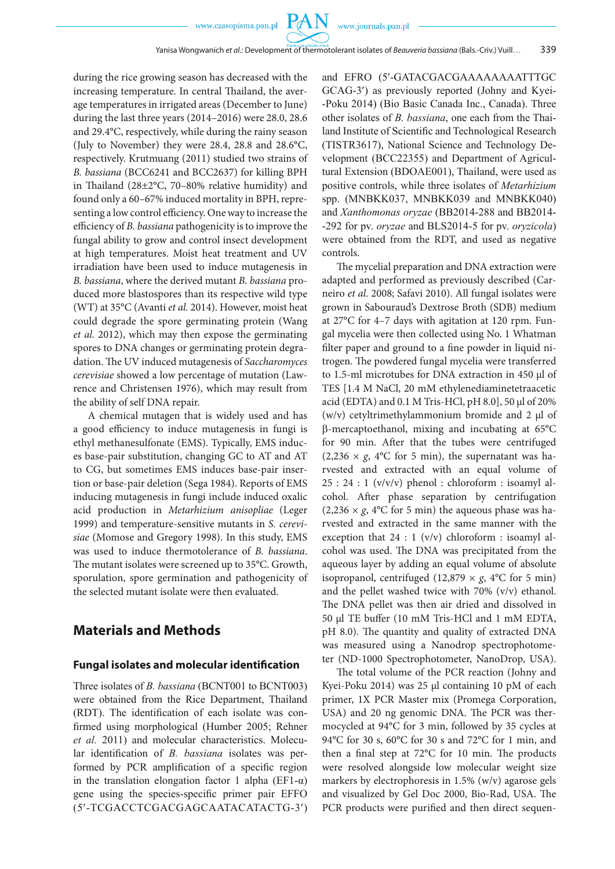**PAN** 

during the rice growing season has decreased with the increasing temperature. In central Thailand, the average temperatures in irrigated areas (December to June) during the last three years (2014–2016) were 28.0, 28.6 and 29.4°C, respectively, while during the rainy season (July to November) they were 28.4, 28.8 and 28.6°C, respectively. Krutmuang (2011) studied two strains of *B. bassiana* (BCC6241 and BCC2637) for killing BPH in Thailand (28±2°C, 70–80% relative humidity) and found only a 60–67% induced mortality in BPH, representing a low control efficiency. One way to increase the efficiency of *B. bassiana* pathogenicity is to improve the fungal ability to grow and control insect development at high temperatures. Moist heat treatment and UV irradiation have been used to induce mutagenesis in *B. bassiana*, where the derived mutant *B. bassiana* produced more blastospores than its respective wild type (WT) at 35°C (Avanti *et al.* 2014). However, moist heat could degrade the spore germinating protein (Wang *et al.* 2012), which may then expose the germinating spores to DNA changes or germinating protein degradation. The UV induced mutagenesis of *Saccharomyces cerevisiae* showed a low percentage of mutation (Lawrence and Christensen 1976), which may result from the ability of self DNA repair.

A chemical mutagen that is widely used and has a good efficiency to induce mutagenesis in fungi is ethyl methanesulfonate (EMS). Typically, EMS induces base-pair substitution, changing GC to AT and AT to CG, but sometimes EMS induces base-pair insertion or base-pair deletion (Sega 1984). Reports of EMS inducing mutagenesis in fungi include induced oxalic acid production in *Metarhizium anisopliae* (Leger 1999) and temperature-sensitive mutants in *S. cerevisiae* (Momose and Gregory 1998). In this study, EMS was used to induce thermotolerance of *B. bassiana*. The mutant isolates were screened up to 35°C. Growth, sporulation, spore germination and pathogenicity of the selected mutant isolate were then evaluated.

### **Materials and Methods**

#### **Fungal isolates and molecular identification**

Three isolates of *B. bassiana* (BCNT001 to BCNT003) were obtained from the Rice Department, Thailand (RDT). The identification of each isolate was confirmed using morphological (Humber 2005; Rehner *et al.* 2011) and molecular characteristics. Molecular identification of *B. bassiana* isolates was performed by PCR amplification of a specific region in the translation elongation factor 1 alpha (EF1- $\alpha$ ) gene using the species-specific primer pair EFFO (5′-TCGACCTCGACGAGCAATACATACTG-3′) and EFRO (5′-GATACGACGAAAAAAAATTTGC GCAG-3′) as previously reported (Johny and Kyei- -Poku 2014) (Bio Basic Canada Inc., Canada). Three other isolates of *B. bassiana*, one each from the Thailand Institute of Scientific and Technological Research (TISTR3617), National Science and Technology Development (BCC22355) and Department of Agricultural Extension (BDOAE001), Thailand, were used as positive controls, while three isolates of *Metarhizium* spp. (MNBKK037, MNBKK039 and MNBKK040) and *Xanthomonas oryzae* (BB2014-288 and BB2014- -292 for pv. *oryzae* and BLS2014-5 for pv. *oryzicola*) were obtained from the RDT, and used as negative controls.

The mycelial preparation and DNA extraction were adapted and performed as previously described (Carneiro *et al*. 2008; Safavi 2010). All fungal isolates were grown in Sabouraud's Dextrose Broth (SDB) medium at 27°C for 4–7 days with agitation at 120 rpm. Fungal mycelia were then collected using No. 1 Whatman filter paper and ground to a fine powder in liquid nitrogen. The powdered fungal mycelia were transferred to 1.5-ml microtubes for DNA extraction in 450 µl of TES [1.4 M NaCl, 20 mM ethylenediaminetetraacetic acid (EDTA) and 0.1 M Tris-HCl, pH 8.0], 50 µl of 20% (w/v) cetyltrimethylammonium bromide and  $2 \mu$  of b-mercaptoethanol, mixing and incubating at 65°C for 90 min. After that the tubes were centrifuged  $(2,236 \times g, 4^{\circ}C \text{ for } 5 \text{ min})$ , the supernatant was harvested and extracted with an equal volume of  $25: 24: 1 \, (v/v/v)$  phenol: chloroform: isoamyl alcohol. After phase separation by centrifugation (2,236  $\times$  *g*, 4°C for 5 min) the aqueous phase was harvested and extracted in the same manner with the exception that 24 : 1 (v/v) chloroform : isoamyl alcohol was used. The DNA was precipitated from the aqueous layer by adding an equal volume of absolute isopropanol, centrifuged  $(12,879 \times g, 4^{\circ}C$  for 5 min) and the pellet washed twice with 70% (v/v) ethanol. The DNA pellet was then air dried and dissolved in 50 µl TE buffer (10 mM Tris-HCl and 1 mM EDTA, pH 8.0). The quantity and quality of extracted DNA was measured using a Nanodrop spectrophotometer (ND-1000 Spectrophotometer, NanoDrop, USA).

The total volume of the PCR reaction (Johny and Kyei-Poku 2014) was 25 µl containing 10 pM of each primer, 1X PCR Master mix (Promega Corporation, USA) and 20 ng genomic DNA. The PCR was thermocycled at 94°C for 3 min, followed by 35 cycles at 94°C for 30 s, 60°C for 30 s and 72°C for 1 min, and then a final step at 72°C for 10 min. The products were resolved alongside low molecular weight size markers by electrophoresis in 1.5% (w/v) agarose gels and visualized by Gel Doc 2000, Bio-Rad, USA. The PCR products were purified and then direct sequen-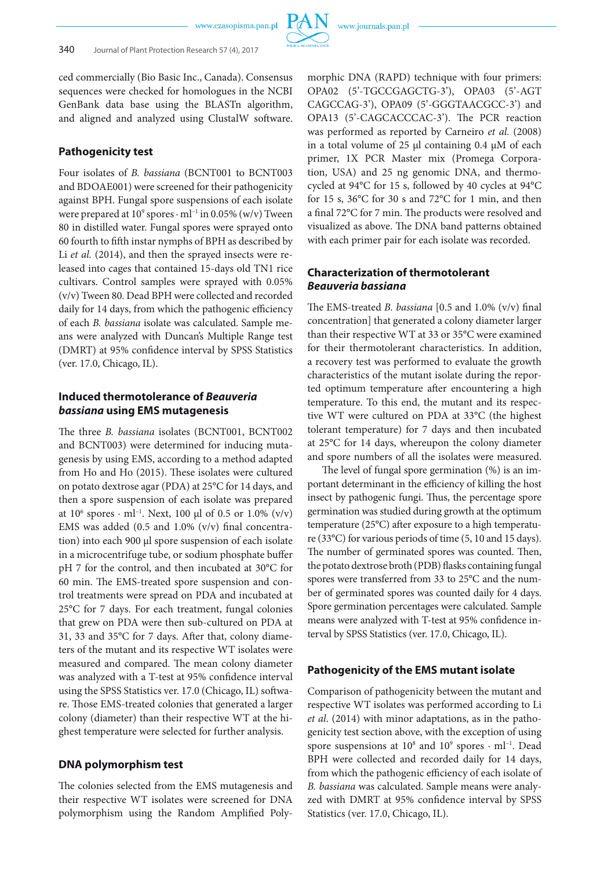

ced commercially (Bio Basic Inc., Canada). Consensus sequences were checked for homologues in the NCBI GenBank data base using the BLASTn algorithm, and aligned and analyzed using ClustalW software.

### . **Pathogenicity test**

Four isolates of *B. bassiana* (BCNT001 to BCNT003 and BDOAE001) were screened for their pathogenicity against BPH. Fungal spore suspensions of each isolate were prepared at  $10^9$  spores  $\cdot$  ml<sup>-1</sup> in 0.05% (w/v) Tween 80 in distilled water. Fungal spores were sprayed onto 60 fourth to fifth instar nymphs of BPH as described by Li *et al.* (2014), and then the sprayed insects were released into cages that contained 15-days old TN1 rice cultivars. Control samples were sprayed with 0.05% (v/v) Tween 80. Dead BPH were collected and recorded daily for 14 days, from which the pathogenic efficiency of each *B. bassiana* isolate was calculated. Sample means were analyzed with Duncan's Multiple Range test (DMRT) at 95% confidence interval by SPSS Statistics (ver. 17.0, Chicago, IL).

### **Induced thermotolerance of** *Beauveria bassiana* **using EMS mutagenesis**

The three *B. bassiana* isolates (BCNT001, BCNT002 and BCNT003) were determined for inducing mutagenesis by using EMS, according to a method adapted from Ho and Ho (2015). These isolates were cultured on potato dextrose agar (PDA) at 25°C for 14 days, and then a spore suspension of each isolate was prepared at  $10^6$  spores  $\cdot$  ml<sup>-1</sup>. Next, 100 µl of 0.5 or 1.0% (v/v) EMS was added (0.5 and 1.0% (v/v) final concentration) into each 900 µl spore suspension of each isolate in a microcentrifuge tube, or sodium phosphate buffer pH 7 for the control, and then incubated at 30°C for 60 min. The EMS-treated spore suspension and control treatments were spread on PDA and incubated at 25°C for 7 days. For each treatment, fungal colonies that grew on PDA were then sub-cultured on PDA at 31, 33 and 35°C for 7 days. After that, colony diameters of the mutant and its respective WT isolates were measured and compared. The mean colony diameter was analyzed with a T-test at 95% confidence interval using the SPSS Statistics ver. 17.0 (Chicago, IL) software. Those EMS-treated colonies that generated a larger colony (diameter) than their respective WT at the highest temperature were selected for further analysis.

### **DNA polymorphism test**

The colonies selected from the EMS mutagenesis and their respective WT isolates were screened for DNA polymorphism using the Random Amplified Polymorphic DNA (RAPD) technique with four primers: OPA02 (5'-TGCCGAGCTG-3'), OPA03 (5'-AGT CAGCCAG-3'), OPA09 (5'-GGGTAACGCC-3') and OPA13 (5'-CAGCACCCAC-3'). The PCR reaction was performed as reported by Carneiro *et al.* (2008) in a total volume of  $25$  µl containing 0.4 µM of each primer, 1X PCR Master mix (Promega Corporation, USA) and 25 ng genomic DNA, and thermocycled at 94°C for 15 s, followed by 40 cycles at 94°C for 15 s, 36°C for 30 s and 72°C for 1 min, and then a final 72°C for 7 min. The products were resolved and visualized as above. The DNA band patterns obtained with each primer pair for each isolate was recorded.

### **Characterization of thermotolerant** *Beauveria bassiana*

The EMS-treated *B. bassiana* [0.5 and 1.0% (v/v) final concentration] that generated a colony diameter larger than their respective WT at 33 or 35°C were examined for their thermotolerant characteristics. In addition, a recovery test was performed to evaluate the growth characteristics of the mutant isolate during the reported optimum temperature after encountering a high temperature. To this end, the mutant and its respective WT were cultured on PDA at 33°C (the highest tolerant temperature) for 7 days and then incubated at 25°C for 14 days, whereupon the colony diameter and spore numbers of all the isolates were measured.

The level of fungal spore germination (%) is an important determinant in the efficiency of killing the host insect by pathogenic fungi. Thus, the percentage spore germination was studied during growth at the optimum temperature (25°C) after exposure to a high temperature (33°C) for various periods of time (5, 10 and 15 days). The number of germinated spores was counted. Then, the potato dextrose broth (PDB) flasks containing fungal spores were transferred from 33 to 25°C and the number of germinated spores was counted daily for 4 days. Spore germination percentages were calculated. Sample means were analyzed with T-test at 95% confidence interval by SPSS Statistics (ver. 17.0, Chicago, IL).

### **Pathogenicity of the EMS mutant isolate**

Comparison of pathogenicity between the mutant and respective WT isolates was performed according to Li *et al*. (2014) with minor adaptations, as in the pathogenicity test section above, with the exception of using spore suspensions at  $10^8$  and  $10^9$  spores  $\cdot$  ml<sup>-1</sup>. Dead BPH were collected and recorded daily for 14 days, from which the pathogenic efficiency of each isolate of *B. bassiana* was calculated. Sample means were analyzed with DMRT at 95% confidence interval by SPSS Statistics (ver. 17.0, Chicago, IL).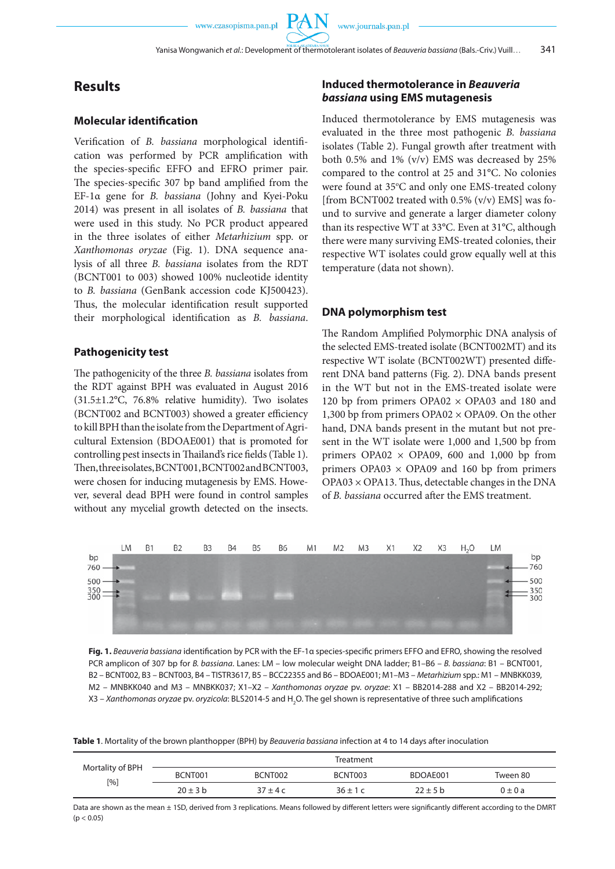### **Results**

### **Molecular identification**

Verification of *B. bassiana* morphological identification was performed by PCR amplification with the species-specific EFFO and EFRO primer pair. The species-specific 307 bp band amplified from the EF-1α gene for *B. bassiana* (Johny and Kyei-Poku 2014) was present in all isolates of *B. bassiana* that were used in this study. No PCR product appeared in the three isolates of either *Metarhizium* spp. or *Xanthomonas oryzae* (Fig. 1). DNA sequence analysis of all three *B. bassiana* isolates from the RDT (BCNT001 to 003) showed 100% nucleotide identity to *B. bassiana* (GenBank accession code KJ500423). Thus, the molecular identification result supported their morphological identification as *B. bassiana*.

#### **Pathogenicity test**

The pathogenicity of the three *B. bassiana* isolates from the RDT against BPH was evaluated in August 2016 (31.5±1.2°C, 76.8% relative humidity). Two isolates (BCNT002 and BCNT003) showed a greater efficiency to kill BPH than the isolate from the Department of Agricultural Extension (BDOAE001) that is promoted for controlling pest insects in Thailand's rice fields (Table 1). Then, three isolates, BCNT001, BCNT002 and BCNT003, were chosen for inducing mutagenesis by EMS. However, several dead BPH were found in control samples without any mycelial growth detected on the insects.

### **Induced thermotolerance in** *Beauveria bassiana* **using EMS mutagenesis**

Induced thermotolerance by EMS mutagenesis was evaluated in the three most pathogenic *B. bassiana* isolates (Table 2). Fungal growth after treatment with both 0.5% and 1% (v/v) EMS was decreased by 25% compared to the control at 25 and 31°C. No colonies were found at 35°C and only one EMS-treated colony [from BCNT002 treated with 0.5% (v/v) EMS] was found to survive and generate a larger diameter colony than its respective WT at 33°C. Even at 31°C, although there were many surviving EMS-treated colonies, their respective WT isolates could grow equally well at this temperature (data not shown).

### **DNA polymorphism test**

The Random Amplified Polymorphic DNA analysis of the selected EMS-treated isolate (BCNT002MT) and its respective WT isolate (BCNT002WT) presented different DNA band patterns (Fig. 2). DNA bands present in the WT but not in the EMS-treated isolate were 120 bp from primers OPA02 × OPA03 and 180 and 1,300 bp from primers OPA02 × OPA09. On the other hand, DNA bands present in the mutant but not present in the WT isolate were 1,000 and 1,500 bp from primers OPA02  $\times$  OPA09, 600 and 1,000 bp from primers OPA03  $\times$  OPA09 and 160 bp from primers  $OPA03 \times OPA13$ . Thus, detectable changes in the DNA of *B. bassiana* occurred after the EMS treatment.



**Fig. 1.** *Beauveria bassiana* identification by PCR with the EF-1α species-specific primers EFFO and EFRO, showing the resolved PCR amplicon of 307 bp for *B. bassiana*. Lanes: LM – low molecular weight DNA ladder; B1–B6 – *B. bassiana*: B1 – BCNT001, B2 – BCNT002, B3 – BCNT003, B4 – TISTR3617, B5 – BCC22355 and B6 – BDOAE001; M1–M3 – *Metarhizium* spp.: M1 – MNBKK039, M2 – MNBKK040 and M3 – MNBKK037; X1–X2 – *Xanthomonas oryzae* pv. *oryzae*: X1 – BB2014-288 and X2 – BB2014-292; X3 *– Xanthomonas oryzae* pv. *oryzicola*: BLS2014-5 and H<sub>2</sub>O. The gel shown is representative of three such amplifications

**Table 1**. Mortality of the brown planthopper (BPH) by *Beauveria bassiana* infection at 4 to 14 days after inoculation

| Mortality of BPH<br>$\lceil 9/6 \rceil$ | Treatment    |           |             |              |            |  |  |
|-----------------------------------------|--------------|-----------|-------------|--------------|------------|--|--|
|                                         | BCNT001      | BCNT002   | BCNT003     | BDOAE001     | Tween 80   |  |  |
|                                         | $20 \pm 3$ b | $37 + 4c$ | $36 \pm 1c$ | $22 \pm 5$ b | $0\pm 0$ a |  |  |

Data are shown as the mean ± 1SD, derived from 3 replications. Means followed by different letters were significantly different according to the DMRT  $(p < 0.05)$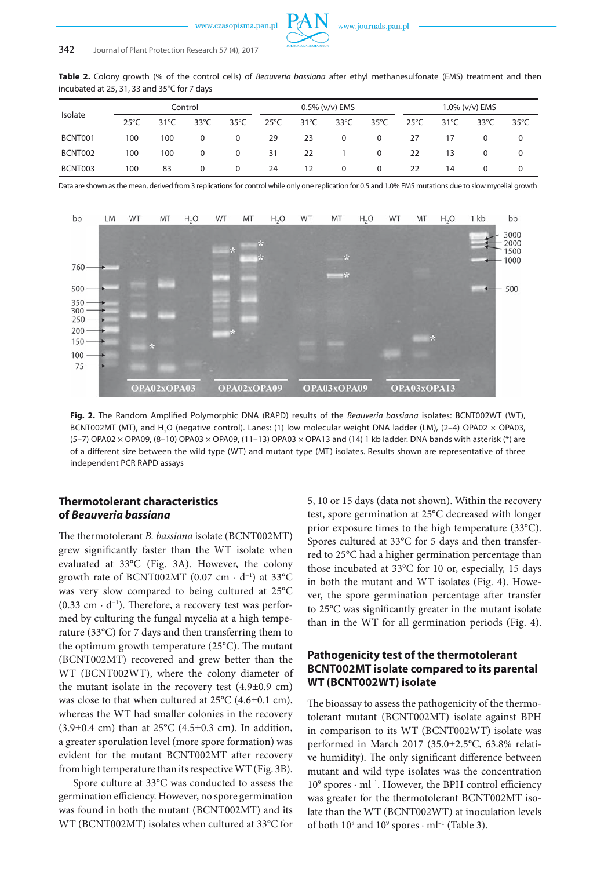**Table 2.** Colony growth (% of the control cells) of *Beauveria bassiana* after ethyl methanesulfonate (EMS) treatment and then incubated at 25, 31, 33 and 35°C for 7 days

| Isolate |                | Control |                |                | $0.5\%$ (v/v) EMS |                   |                | 1.0% (v/v) EMS |                |                |                |                |
|---------|----------------|---------|----------------|----------------|-------------------|-------------------|----------------|----------------|----------------|----------------|----------------|----------------|
|         | $25^{\circ}$ C | 31°C    | $33^{\circ}$ C | $35^{\circ}$ C | $25^{\circ}$ C    | $31^{\circ}$ C    | $33^{\circ}$ C | $35^{\circ}$ C | $25^{\circ}$ C | $31^{\circ}$ C | $33^{\circ}$ C | $35^{\circ}$ C |
| BCNT001 | 100            | 100     | 0              | $\Omega$       | 29                | 23                | $\Omega$       | $\Omega$       | 27             | 17             | 0              | 0              |
| BCNT002 | 100            | 100     | 0              | $\Omega$       | 31                | 22                |                | $\Omega$       | 22             | 13             | 0              | 0              |
| BCNT003 | 100            | 83      | 0              | $\Omega$       | 24                | $12 \overline{ }$ | $\Omega$       | $\Omega$       | 22             | 14             | $\Omega$       | $\Omega$       |

Data are shown as the mean, derived from 3 replications for control while only one replication for 0.5 and 1.0% EMS mutations due to slow mycelial growth



**Fig. 2.** The Random Amplified Polymorphic DNA (RAPD) results of the *Beauveria bassiana* isolates: BCNT002WT (WT), BCNT002MT (MT), and  $H_2O$  (negative control). Lanes: (1) low molecular weight DNA ladder (LM), (2–4) OPA02  $\times$  OPA03, (5-7) OPA02  $\times$  OPA09, (8-10) OPA03  $\times$  OPA09, (11-13) OPA03  $\times$  OPA13 and (14) 1 kb ladder. DNA bands with asterisk (\*) are of a different size between the wild type (WT) and mutant type (MT) isolates. Results shown are representative of three independent PCR RAPD assays

### **Thermotolerant characteristics of** *Beauveria bassiana*

The thermotolerant *B. bassiana* isolate (BCNT002MT) grew significantly faster than the WT isolate when evaluated at 33°C (Fig. 3A). However, the colony growth rate of BCNT002MT  $(0.07 \text{ cm} \cdot \text{d}^{-1})$  at 33°C was very slow compared to being cultured at 25°C (0.33 cm ∙ d<sup>−</sup><sup>1</sup> ). Therefore, a recovery test was performed by culturing the fungal mycelia at a high temperature (33°C) for 7 days and then transferring them to the optimum growth temperature (25°C). The mutant (BCNT002MT) recovered and grew better than the WT (BCNT002WT), where the colony diameter of the mutant isolate in the recovery test (4.9±0.9 cm) was close to that when cultured at 25°C (4.6±0.1 cm), whereas the WT had smaller colonies in the recovery (3.9 $\pm$ 0.4 cm) than at 25 $^{\circ}$ C (4.5 $\pm$ 0.3 cm). In addition, a greater sporulation level (more spore formation) was evident for the mutant BCNT002MT after recovery from high temperature than its respective WT (Fig. 3B).

Spore culture at 33°C was conducted to assess the germination efficiency. However, no spore germination was found in both the mutant (BCNT002MT) and its WT (BCNT002MT) isolates when cultured at 33°C for 5, 10 or 15 days (data not shown). Within the recovery test, spore germination at 25°C decreased with longer prior exposure times to the high temperature (33°C). Spores cultured at 33°C for 5 days and then transferred to 25°C had a higher germination percentage than those incubated at 33°C for 10 or, especially, 15 days in both the mutant and WT isolates (Fig. 4). However, the spore germination percentage after transfer to 25°C was significantly greater in the mutant isolate than in the WT for all germination periods (Fig. 4).

### **Pathogenicity test of the thermotolerant BCNT002MT isolate compared to its parental WT (BCNT002WT) isolate**

The bioassay to assess the pathogenicity of the thermotolerant mutant (BCNT002MT) isolate against BPH in comparison to its WT (BCNT002WT) isolate was performed in March 2017 (35.0±2.5°C, 63.8% relative humidity). The only significant difference between mutant and wild type isolates was the concentration 109 spores · ml–1. However, the BPH control efficiency was greater for the thermotolerant BCNT002MT isolate than the WT (BCNT002WT) at inoculation levels of both  $10^8$  and  $10^9$  spores  $\cdot$  ml<sup>-1</sup> (Table 3).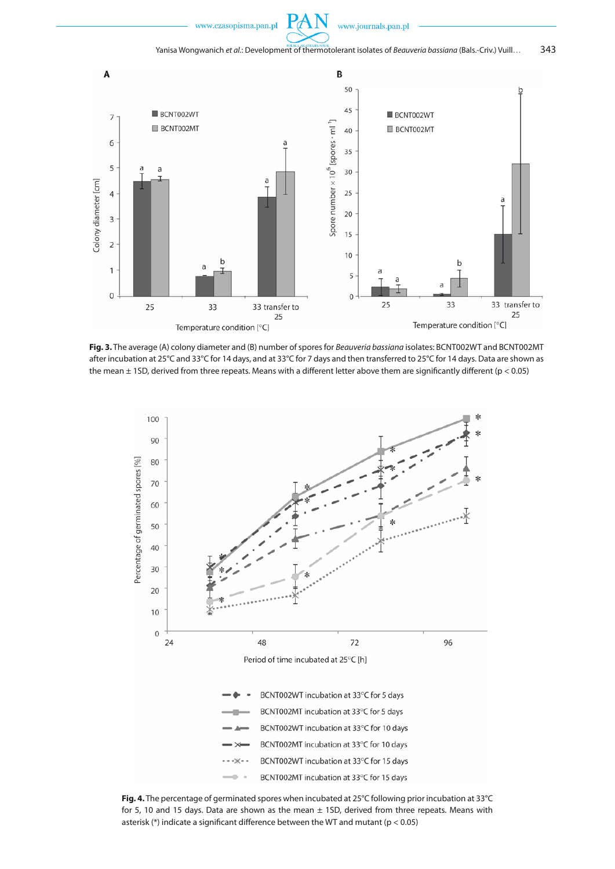



**Fig. 3.** The average (A) colony diameter and (B) number of spores for *Beauveria bassiana* isolates: BCNT002WT and BCNT002MT after incubation at 25°C and 33°C for 14 days, and at 33°C for 7 days and then transferred to 25°C for 14 days. Data are shown as the mean  $\pm$  1SD, derived from three repeats. Means with a different letter above them are significantly different ( $p < 0.05$ )



**Fig. 4.** The percentage of germinated spores when incubated at 25°C following prior incubation at 33°C for 5, 10 and 15 days. Data are shown as the mean  $\pm$  1SD, derived from three repeats. Means with asterisk ( $*$ ) indicate a significant difference between the WT and mutant ( $p < 0.05$ )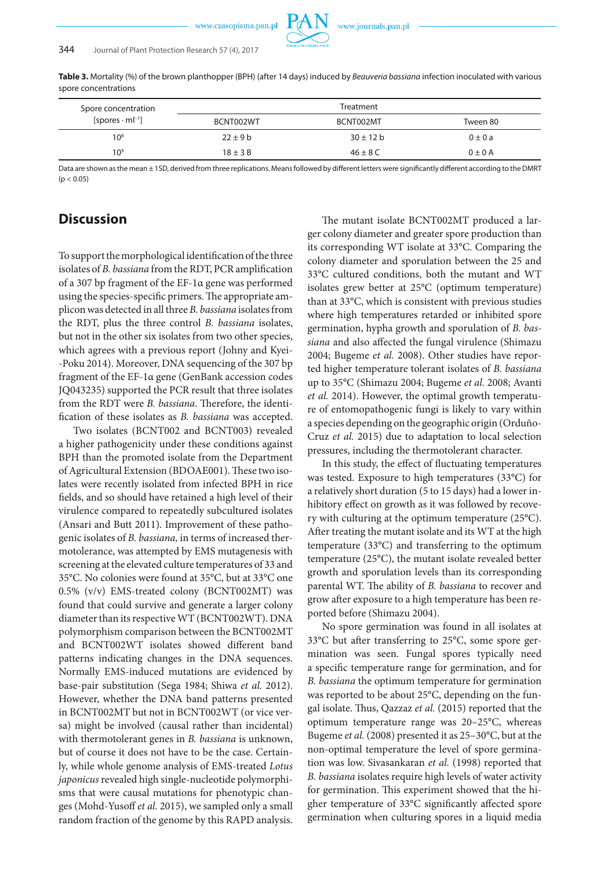**Table 3.** Mortality (%) of the brown planthopper (BPH) (after 14 days) induced by *Beauveria bassiana* infection inoculated with various spore concentrations

| Spore concentration                |              | Treatment     |             |
|------------------------------------|--------------|---------------|-------------|
| [spores $\cdot$ ml <sup>-1</sup> ] | BCNT002WT    | BCNT002MT     | Tween 80    |
| $10^8$                             | $22 \pm 9$ b | $30 \pm 12$ b | $0 \pm 0 a$ |
| 10 <sup>9</sup>                    | $18 \pm 3$ B | $46 \pm 8$ C  | $0 \pm 0$ A |

Data are shown as the mean ± 1SD, derived from three replications. Means followed by different letters were significantly different according to the DMRT  $(p < 0.05)$ 

## **Discussion**

To support the morphological identification of the three isolates of *B. bassiana* from the RDT, PCR amplification of a 307 bp fragment of the EF-1α gene was performed using the species-specific primers. The appropriate amplicon was detected in all three *B. bassiana* isolates from the RDT, plus the three control *B. bassiana* isolates, but not in the other six isolates from two other species, which agrees with a previous report (Johny and Kyei- -Poku 2014). Moreover, DNA sequencing of the 307 bp fragment of the EF-1α gene (GenBank accession codes JQ043235) supported the PCR result that three isolates from the RDT were *B. bassiana*. Therefore, the identification of these isolates as *B. bassiana* was accepted.

Two isolates (BCNT002 and BCNT003) revealed a higher pathogenicity under these conditions against BPH than the promoted isolate from the Department of Agricultural Extension (BDOAE001). These two isolates were recently isolated from infected BPH in rice fields, and so should have retained a high level of their virulence compared to repeatedly subcultured isolates (Ansari and Butt 2011). Improvement of these pathogenic isolates of *B. bassiana,* in terms of increased thermotolerance, was attempted by EMS mutagenesis with screening at the elevated culture temperatures of 33 and 35°C. No colonies were found at 35°C, but at 33°C one 0.5% (v/v) EMS-treated colony (BCNT002MT) was found that could survive and generate a larger colony diameter than its respective WT (BCNT002WT). DNA polymorphism comparison between the BCNT002MT and BCNT002WT isolates showed different band patterns indicating changes in the DNA sequences. Normally EMS-induced mutations are evidenced by base-pair substitution (Sega 1984; Shiwa *et al.* 2012). However, whether the DNA band patterns presented in BCNT002MT but not in BCNT002WT (or vice versa) might be involved (causal rather than incidental) with thermotolerant genes in *B. bassiana* is unknown, but of course it does not have to be the case. Certainly, while whole genome analysis of EMS-treated *Lotus japonicus* revealed high single-nucleotide polymorphisms that were causal mutations for phenotypic changes (Mohd-Yusoff *et al.* 2015), we sampled only a small random fraction of the genome by this RAPD analysis.

The mutant isolate BCNT002MT produced a larger colony diameter and greater spore production than its corresponding WT isolate at 33°C. Comparing the colony diameter and sporulation between the 25 and 33°C cultured conditions, both the mutant and WT isolates grew better at 25°C (optimum temperature) than at 33°C, which is consistent with previous studies where high temperatures retarded or inhibited spore germination, hypha growth and sporulation of *B. bassiana* and also affected the fungal virulence (Shimazu 2004; Bugeme *et al.* 2008). Other studies have reported higher temperature tolerant isolates of *B. bassiana* up to 35°C (Shimazu 2004; Bugeme *et al.* 2008; Avanti *et al.* 2014). However, the optimal growth temperature of entomopathogenic fungi is likely to vary within a species depending on the geographic origin (Orduño-Cruz *et al.* 2015) due to adaptation to local selection pressures, including the thermotolerant character.

In this study, the effect of fluctuating temperatures was tested. Exposure to high temperatures (33°C) for a relatively short duration (5 to 15 days) had a lower inhibitory effect on growth as it was followed by recovery with culturing at the optimum temperature (25°C). After treating the mutant isolate and its WT at the high temperature (33°C) and transferring to the optimum temperature (25°C), the mutant isolate revealed better growth and sporulation levels than its corresponding parental WT. The ability of *B. bassiana* to recover and grow after exposure to a high temperature has been reported before (Shimazu 2004).

No spore germination was found in all isolates at 33°C but after transferring to 25°C, some spore germination was seen. Fungal spores typically need a specific temperature range for germination, and for *B. bassiana* the optimum temperature for germination was reported to be about 25°C, depending on the fungal isolate. Thus, Qazzaz *et al.* (2015) reported that the optimum temperature range was 20–25°C, whereas Bugeme *et al.* (2008) presented it as 25–30°C, but at the non-optimal temperature the level of spore germination was low. Sivasankaran *et al.* (1998) reported that *B. bassiana* isolates require high levels of water activity for germination. This experiment showed that the higher temperature of 33°C significantly affected spore germination when culturing spores in a liquid media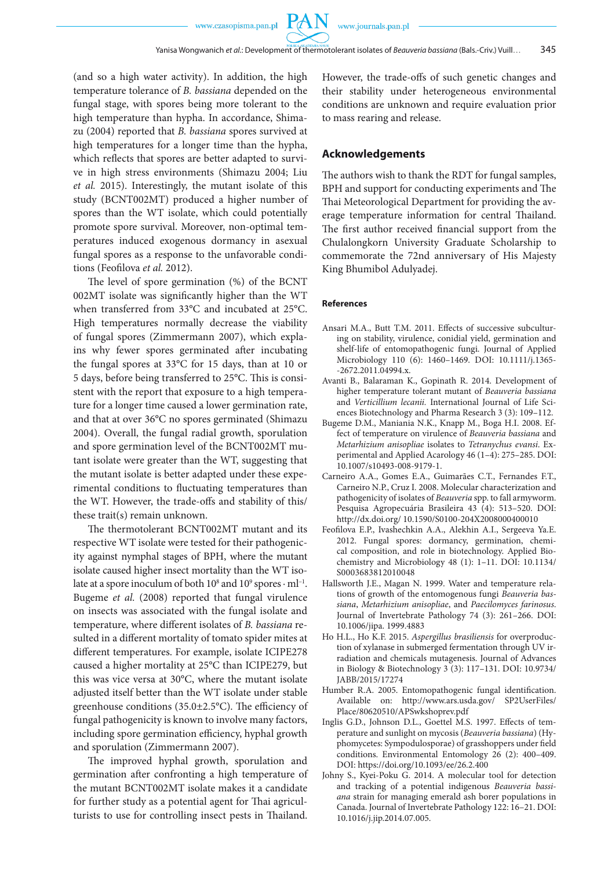PA

(and so a high water activity). In addition, the high temperature tolerance of *B. bassiana* depended on the fungal stage, with spores being more tolerant to the high temperature than hypha. In accordance, Shimazu (2004) reported that *B. bassiana* spores survived at high temperatures for a longer time than the hypha, which reflects that spores are better adapted to survive in high stress environments (Shimazu 2004; Liu *et al.* 2015). Interestingly, the mutant isolate of this study (BCNT002MT) produced a higher number of spores than the WT isolate, which could potentially promote spore survival. Moreover, non-optimal temperatures induced exogenous dormancy in asexual fungal spores as a response to the unfavorable conditions (Feofilova *et al.* 2012).

The level of spore germination (%) of the BCNT 002MT isolate was significantly higher than the WT when transferred from 33°C and incubated at 25°C. High temperatures normally decrease the viability of fungal spores (Zimmermann 2007), which explains why fewer spores germinated after incubating the fungal spores at 33°C for 15 days, than at 10 or 5 days, before being transferred to 25°C. This is consistent with the report that exposure to a high temperature for a longer time caused a lower germination rate, and that at over 36°C no spores germinated (Shimazu 2004). Overall, the fungal radial growth, sporulation and spore germination level of the BCNT002MT mutant isolate were greater than the WT, suggesting that the mutant isolate is better adapted under these experimental conditions to fluctuating temperatures than the WT. However, the trade-offs and stability of this/ these trait(s) remain unknown.

The thermotolerant BCNT002MT mutant and its respective WT isolate were tested for their pathogenicity against nymphal stages of BPH, where the mutant isolate caused higher insect mortality than the WT isolate at a spore inoculum of both  $10^8$  and  $10^9$  spores  $\cdot$  ml<sup>-1</sup>. Bugeme *et al.* (2008) reported that fungal virulence on insects was associated with the fungal isolate and temperature, where different isolates of *B. bassiana* resulted in a different mortality of tomato spider mites at different temperatures. For example, isolate ICIPE278 caused a higher mortality at 25°C than ICIPE279, but this was vice versa at 30°C, where the mutant isolate adjusted itself better than the WT isolate under stable greenhouse conditions (35.0±2.5°C). The efficiency of fungal pathogenicity is known to involve many factors, including spore germination efficiency, hyphal growth and sporulation (Zimmermann 2007).

The improved hyphal growth, sporulation and germination after confronting a high temperature of the mutant BCNT002MT isolate makes it a candidate for further study as a potential agent for Thai agriculturists to use for controlling insect pests in Thailand.

However, the trade-offs of such genetic changes and their stability under heterogeneous environmental conditions are unknown and require evaluation prior to mass rearing and release.

### **Acknowledgements**

The authors wish to thank the RDT for fungal samples, BPH and support for conducting experiments and The Thai Meteorological Department for providing the average temperature information for central Thailand. The first author received financial support from the Chulalongkorn University Graduate Scholarship to commemorate the 72nd anniversary of His Majesty King Bhumibol Adulyadej.

#### **References**

- Ansari M.A., Butt T.M. 2011. Effects of successive subculturing on stability, virulence, conidial yield, germination and shelf-life of entomopathogenic fungi. Journal of Applied Microbiology 110 (6): 1460–1469. DOI: 10.1111/j.1365- -2672.2011.04994.x.
- Avanti B., Balaraman K., Gopinath R. 2014. Development of higher temperature tolerant mutant of *Beauveria bassiana* and *Verticillium lecanii.* International Journal of Life Sciences Biotechnology and Pharma Research 3 (3): 109–112.
- Bugeme D.M., Maniania N.K., Knapp M., Boga H.I. 2008. Effect of temperature on virulence of *Beauveria bassiana* and *Metarhizium anisopliae* isolates to *Tetranychus evansi*. Experimental and Applied Acarology 46 (1–4): 275–285. DOI: 10.1007/s10493-008-9179-1.
- Carneiro A.A., Gomes E.A., Guimarães C.T., Fernandes F.T., Carneiro N.P., Cruz I*.* 2008. Molecular characterization and pathogenicity of isolates of *Beauveria* spp. to fall armyworm. Pesquisa Agropecuária Brasileira 43 (4): 513–520. DOI: http://dx.doi.org/ 10.1590/S0100-204X2008000400010
- Feofilova E.P., Ivashechkin A.A., Alekhin A.I., Sergeeva Ya.E. 2012. Fungal spores: dormancy, germination, chemical composition, and role in biotechnology. Applied Biochemistry and Microbiology 48 (1): 1–11. DOI: 10.1134/ S0003683812010048
- Hallsworth J.E., Magan N. 1999. Water and temperature relations of growth of the entomogenous fungi *Beauveria bassiana*, *Metarhizium anisopliae*, and *Paecilomyces farinosus*. Journal of Invertebrate Pathology 74 (3): 261–266. DOI: 10.1006/jipa. 1999.4883
- Ho H.L., Ho K.F. 2015. *Aspergillus brasiliensis* for overproduction of xylanase in submerged fermentation through UV irradiation and chemicals mutagenesis. Journal of Advances in Biology & Biotechnology 3 (3): 117–131. DOI: 10.9734/ JABB/2015/17274
- Humber R.A. 2005. Entomopathogenic fungal identification. Available on: http://www.ars.usda.gov/ SP2UserFiles/ Place/80620510/APSwkshoprev.pdf
- Inglis G.D., Johnson D.L., Goettel M.S. 1997. Effects of temperature and sunlight on mycosis (*Beauveria bassiana*) (Hyphomycetes: Sympodulosporae) of grasshoppers under field conditions. Environmental Entomology 26 (2): 400–409. DOI: https://doi.org/10.1093/ee/26.2.400
- Johny S., Kyei-Poku G. 2014. A molecular tool for detection and tracking of a potential indigenous *Beauveria bassiana* strain for managing emerald ash borer populations in Canada. Journal of Invertebrate Pathology 122: 16–21. DOI: 10.1016/j.jip.2014.07.005.